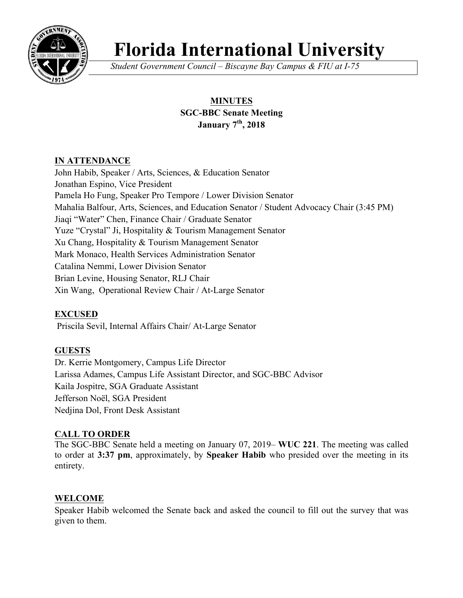

# **Florida International University**

*Student Government Council – Biscayne Bay Campus & FIU at I-75*

## **MINUTES SGC-BBC Senate Meeting January 7th, 2018**

## **IN ATTENDANCE**

John Habib, Speaker / Arts, Sciences, & Education Senator Jonathan Espino, Vice President Pamela Ho Fung, Speaker Pro Tempore / Lower Division Senator Mahalia Balfour, Arts, Sciences, and Education Senator / Student Advocacy Chair (3:45 PM) Jiaqi "Water" Chen, Finance Chair / Graduate Senator Yuze "Crystal" Ji, Hospitality & Tourism Management Senator Xu Chang, Hospitality & Tourism Management Senator Mark Monaco, Health Services Administration Senator Catalina Nemmi, Lower Division Senator Brian Levine, Housing Senator, RLJ Chair Xin Wang, Operational Review Chair / At-Large Senator

## **EXCUSED**

Priscila Sevil, Internal Affairs Chair/ At-Large Senator

## **GUESTS**

Dr. Kerrie Montgomery, Campus Life Director Larissa Adames, Campus Life Assistant Director, and SGC-BBC Advisor Kaila Jospitre, SGA Graduate Assistant Jefferson Noël, SGA President Nedjina Dol, Front Desk Assistant

#### **CALL TO ORDER**

The SGC-BBC Senate held a meeting on January 07, 2019– **WUC 221**. The meeting was called to order at **3:37 pm**, approximately, by **Speaker Habib** who presided over the meeting in its entirety.

#### **WELCOME**

Speaker Habib welcomed the Senate back and asked the council to fill out the survey that was given to them.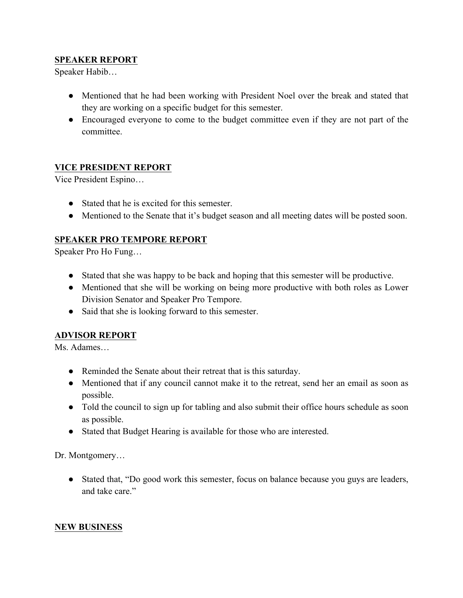#### **SPEAKER REPORT**

Speaker Habib…

- Mentioned that he had been working with President Noel over the break and stated that they are working on a specific budget for this semester.
- Encouraged everyone to come to the budget committee even if they are not part of the committee.

#### **VICE PRESIDENT REPORT**

Vice President Espino…

- Stated that he is excited for this semester.
- Mentioned to the Senate that it's budget season and all meeting dates will be posted soon.

#### **SPEAKER PRO TEMPORE REPORT**

Speaker Pro Ho Fung…

- Stated that she was happy to be back and hoping that this semester will be productive.
- Mentioned that she will be working on being more productive with both roles as Lower Division Senator and Speaker Pro Tempore.
- Said that she is looking forward to this semester.

#### **ADVISOR REPORT**

Ms. Adames…

- Reminded the Senate about their retreat that is this saturday.
- Mentioned that if any council cannot make it to the retreat, send her an email as soon as possible.
- Told the council to sign up for tabling and also submit their office hours schedule as soon as possible.
- Stated that Budget Hearing is available for those who are interested.

Dr. Montgomery…

● Stated that, "Do good work this semester, focus on balance because you guys are leaders, and take care."

#### **NEW BUSINESS**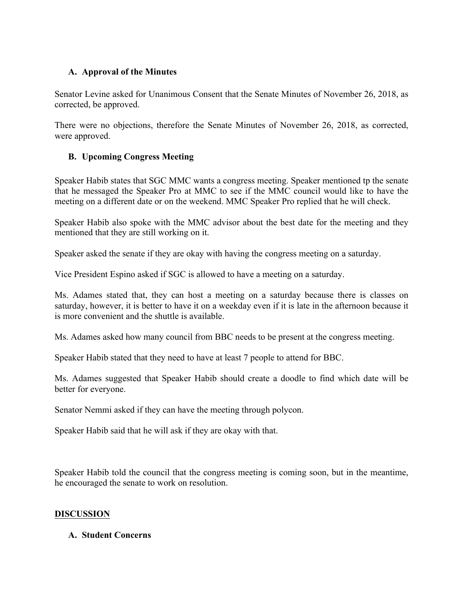## **A. Approval of the Minutes**

Senator Levine asked for Unanimous Consent that the Senate Minutes of November 26, 2018, as corrected, be approved.

There were no objections, therefore the Senate Minutes of November 26, 2018, as corrected, were approved.

#### **B. Upcoming Congress Meeting**

Speaker Habib states that SGC MMC wants a congress meeting. Speaker mentioned tp the senate that he messaged the Speaker Pro at MMC to see if the MMC council would like to have the meeting on a different date or on the weekend. MMC Speaker Pro replied that he will check.

Speaker Habib also spoke with the MMC advisor about the best date for the meeting and they mentioned that they are still working on it.

Speaker asked the senate if they are okay with having the congress meeting on a saturday.

Vice President Espino asked if SGC is allowed to have a meeting on a saturday.

Ms. Adames stated that, they can host a meeting on a saturday because there is classes on saturday, however, it is better to have it on a weekday even if it is late in the afternoon because it is more convenient and the shuttle is available.

Ms. Adames asked how many council from BBC needs to be present at the congress meeting.

Speaker Habib stated that they need to have at least 7 people to attend for BBC.

Ms. Adames suggested that Speaker Habib should create a doodle to find which date will be better for everyone.

Senator Nemmi asked if they can have the meeting through polycon.

Speaker Habib said that he will ask if they are okay with that.

Speaker Habib told the council that the congress meeting is coming soon, but in the meantime, he encouraged the senate to work on resolution.

#### **DISCUSSION**

#### **A. Student Concerns**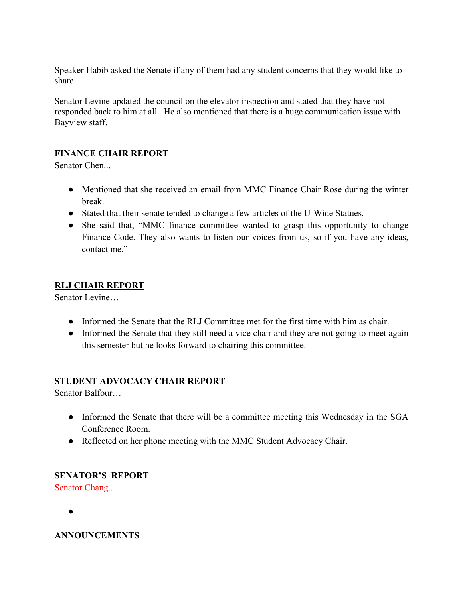Speaker Habib asked the Senate if any of them had any student concerns that they would like to share.

Senator Levine updated the council on the elevator inspection and stated that they have not responded back to him at all. He also mentioned that there is a huge communication issue with Bayview staff.

## **FINANCE CHAIR REPORT**

Senator Chen...

- Mentioned that she received an email from MMC Finance Chair Rose during the winter break.
- Stated that their senate tended to change a few articles of the U-Wide Statues.
- She said that, "MMC finance committee wanted to grasp this opportunity to change Finance Code. They also wants to listen our voices from us, so if you have any ideas, contact me."

## **RLJ CHAIR REPORT**

Senator Levine…

- Informed the Senate that the RLJ Committee met for the first time with him as chair.
- Informed the Senate that they still need a vice chair and they are not going to meet again this semester but he looks forward to chairing this committee.

## **STUDENT ADVOCACY CHAIR REPORT**

Senator Balfour…

- Informed the Senate that there will be a committee meeting this Wednesday in the SGA Conference Room.
- Reflected on her phone meeting with the MMC Student Advocacy Chair.

## **SENATOR'S REPORT**

Senator Chang...

●

## **ANNOUNCEMENTS**